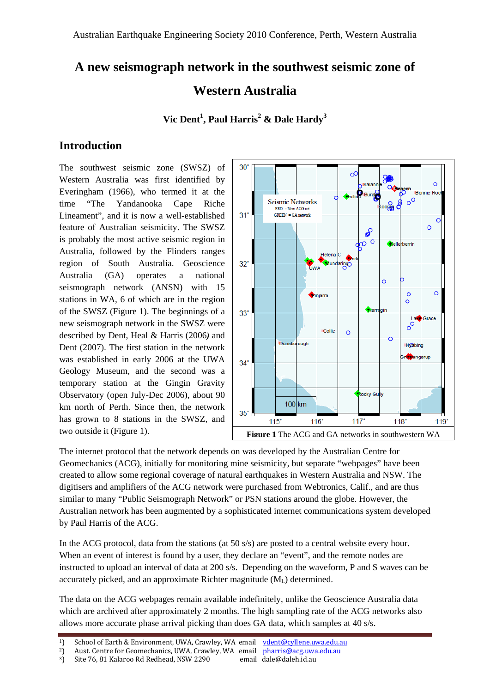# **A new seismograph network in the southwest seismic zone of Western Australia**

**Vic Dent<sup>1</sup> , Paul Harris2 & Dale Hardy3**

# **Introduction**

The southwest seismic zone (SWSZ) of Western Australia was first identified by Everingham (1966), who termed it at the time "The Yandanooka Cape Riche Lineament", and it is now a well-established feature of Australian seismicity. The SWSZ is probably the most active seismic region in Australia, followed by the Flinders ranges region of South Australia. Geoscience Australia (GA) operates a national seismograph network (ANSN) with 15 stations in WA, 6 of which are in the region of the SWSZ (Figure 1). The beginnings of a new seismograph network in the SWSZ were described by Dent, Heal & Harris (2006*)* and Dent (2007). The first station in the network was established in early 2006 at the UWA Geology Museum, and the second was a temporary station at the Gingin Gravity Observatory (open July-Dec 2006), about 90 km north of Perth. Since then, the network has grown to 8 stations in the SWSZ, and two outside it (Figure 1).



The internet protocol that the network depends on was developed by the Australian Centre for Geomechanics (ACG), initially for monitoring mine seismicity, but separate "webpages" have been created to allow some regional coverage of natural earthquakes in Western Australia and NSW. The digitisers and amplifiers of the ACG network were purchased from Webtronics, Calif., and are thus similar to many "Public Seismograph Network" or PSN stations around the globe. However, the Australian network has been augmented by a sophisticated internet communications system developed by Paul Harris of the ACG.

In the ACG protocol, data from the stations (at 50 s/s) are posted to a central website every hour. When an event of interest is found by a user, they declare an "event", and the remote nodes are instructed to upload an interval of data at 200 s/s. Depending on the waveform, P and S waves can be accurately picked, and an approximate Richter magnitude  $(M<sub>L</sub>)$  determined.

The data on the ACG webpages remain available indefinitely, unlike the Geoscience Australia data which are archived after approximately 2 months. The high sampling rate of the ACG networks also allows more accurate phase arrival picking than does GA data, which samples at 40 s/s.

<sup>&</sup>lt;sup>1</sup>) School of Earth & Environment, UWA, Crawley, WA email vdent@cyllene.uwa.edu.au

<sup>&</sup>lt;sup>2</sup>) Aust. Centre for Geomechanics, UWA, Crawley, WA email pharris@acg.uwa.edu.au

<sup>&</sup>lt;sup>3</sup>) Site 76, 81 Kalaroo Rd Redhead, NSW 2290 email dale@daleh.id.au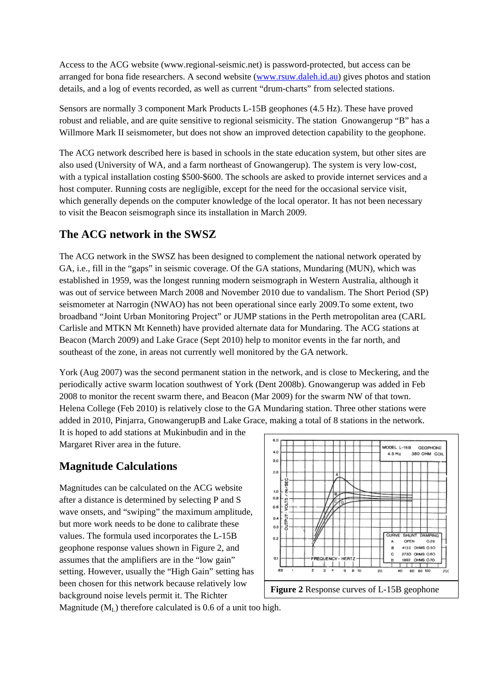Access to the ACG website (www.regional-seismic.net) is password-protected, but access can be arranged for bona fide researchers. A second website ([www.rsuw.daleh.id.au\)](http://www.rsuw.daleh.id.au/) gives photos and station details, and a log of events recorded, as well as current "drum-charts" from selected stations.

Sensors are normally 3 component Mark Products L-15B geophones (4.5 Hz). These have proved robust and reliable, and are quite sensitive to regional seismicity. The station Gnowangerup "B" has a Willmore Mark II seismometer, but does not show an improved detection capability to the geophone.

The ACG network described here is based in schools in the state education system, but other sites are also used (University of WA, and a farm northeast of Gnowangerup). The system is very low-cost, with a typical installation costing \$500-\$600. The schools are asked to provide internet services and a host computer. Running costs are negligible, except for the need for the occasional service visit, which generally depends on the computer knowledge of the local operator. It has not been necessary to visit the Beacon seismograph since its installation in March 2009.

#### **The ACG network in the SWSZ**

The ACG network in the SWSZ has been designed to complement the national network operated by GA, i.e., fill in the "gaps" in seismic coverage. Of the GA stations, Mundaring (MUN), which was established in 1959, was the longest running modern seismograph in Western Australia, although it was out of service between March 2008 and November 2010 due to vandalism. The Short Period (SP) seismometer at Narrogin (NWAO) has not been operational since early 2009.To some extent, two broadband "Joint Urban Monitoring Project" or JUMP stations in the Perth metropolitan area (CARL Carlisle and MTKN Mt Kenneth) have provided alternate data for Mundaring. The ACG stations at Beacon (March 2009) and Lake Grace (Sept 2010) help to monitor events in the far north, and southeast of the zone, in areas not currently well monitored by the GA network.

York (Aug 2007) was the second permanent station in the network, and is close to Meckering, and the periodically active swarm location southwest of York (Dent 2008b). Gnowangerup was added in Feb 2008 to monitor the recent swarm there, and Beacon (Mar 2009) for the swarm NW of that town. Helena College (Feb 2010) is relatively close to the GA Mundaring station. Three other stations were added in 2010, Pinjarra, GnowangerupB and Lake Grace, making a total of 8 stations in the network.

It is hoped to add stations at Mukinbudin and in the Margaret River area in the future.

# **Magnitude Calculations**

Magnitudes can be calculated on the ACG website after a distance is determined by selecting P and S wave onsets, and "swiping" the maximum amplitude, but more work needs to be done to calibrate these values. The formula used incorporates the L-15B geophone response values shown in Figure 2, and assumes that the amplifiers are in the "low gain" setting. However, usually the "High Gain" setting has been chosen for this network because relatively low background noise levels permit it. The Richter



**Figure 2** Response curves of L-15B geophone

Magnitude  $(M<sub>L</sub>)$  therefore calculated is 0.6 of a unit too high.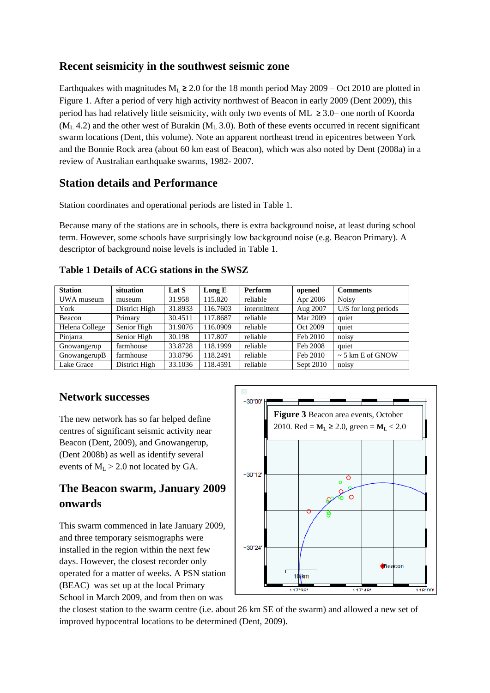#### **Recent seismicity in the southwest seismic zone**

Earthquakes with magnitudes  $M_L \ge 2.0$  for the 18 month period May 2009 – Oct 2010 are plotted in Figure 1. After a period of very high activity northwest of Beacon in early 2009 (Dent 2009), this period has had relatively little seismicity, with only two events of ML  $\geq 3.0$ – one north of Koorda  $(M<sub>L</sub> 4.2)$  and the other west of Burakin  $(M<sub>L</sub> 3.0)$ . Both of these events occurred in recent significant swarm locations (Dent, this volume). Note an apparent northeast trend in epicentres between York and the Bonnie Rock area (about 60 km east of Beacon), which was also noted by Dent (2008a) in a review of Australian earthquake swarms, 1982- 2007.

#### **Station details and Performance**

Station coordinates and operational periods are listed in Table 1.

Because many of the stations are in schools, there is extra background noise, at least during school term. However, some schools have surprisingly low background noise (e.g. Beacon Primary). A descriptor of background noise levels is included in Table 1.

| <b>Station</b> | situation     | Lat S   | Long $E$ | <b>Perform</b> | opened    | <b>Comments</b>       |
|----------------|---------------|---------|----------|----------------|-----------|-----------------------|
| UWA museum     | museum        | 31.958  | 115.820  | reliable       | Apr 2006  | <b>Noisy</b>          |
| York           | District High | 31.8933 | 116.7603 | intermittent   | Aug 2007  | U/S for long periods  |
| Beacon         | Primary       | 30.4511 | 117.8687 | reliable       | Mar 2009  | quiet                 |
| Helena College | Senior High   | 31.9076 | 116.0909 | reliable       | Oct 2009  | quiet                 |
| Pinjarra       | Senior High   | 30.198  | 117.807  | reliable       | Feb 2010  | noisy                 |
| Gnowangerup    | farmhouse     | 33.8728 | 118.1999 | reliable       | Feb 2008  | quiet                 |
| GnowangerupB   | farmhouse     | 33.8796 | 118.2491 | reliable       | Feb 2010  | $\sim$ 5 km E of GNOW |
| Lake Grace     | District High | 33.1036 | 118.4591 | reliable       | Sept 2010 | noisy                 |

#### **Table 1 Details of ACG stations in the SWSZ**

#### **Network successes**

The new network has so far helped define centres of significant seismic activity near Beacon (Dent, 2009), and Gnowangerup, (Dent 2008b) as well as identify several events of  $M_L > 2.0$  not located by GA.

# **The Beacon swarm, January 2009 onwards**

This swarm commenced in late January 2009, and three temporary seismographs were installed in the region within the next few days. However, the closest recorder only operated for a matter of weeks. A PSN station (BEAC) was set up at the local Primary School in March 2009, and from then on was



the closest station to the swarm centre (i.e. about 26 km SE of the swarm) and allowed a new set of improved hypocentral locations to be determined (Dent, 2009).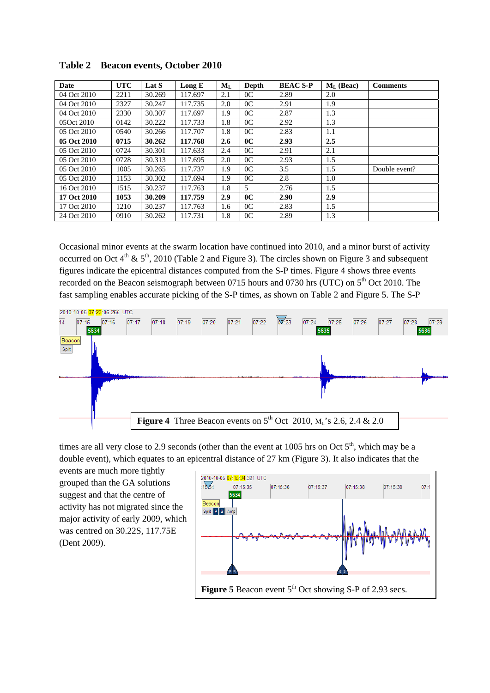| Date        | <b>UTC</b> | Lat S  | Long $E$ | $M_L$            | Depth          | <b>BEAC S-P</b> | $ML$ (Beac) | <b>Comments</b> |
|-------------|------------|--------|----------|------------------|----------------|-----------------|-------------|-----------------|
| 04 Oct 2010 | 2211       | 30.269 | 117.697  | 2.1              | 0 <sup>C</sup> | 2.89            | 2.0         |                 |
| 04 Oct 2010 | 2327       | 30.247 | 117.735  | 2.0              | 0 <sup>C</sup> | 2.91            | 1.9         |                 |
| 04 Oct 2010 | 2330       | 30.307 | 117.697  | 1.9              | 0 <sup>C</sup> | 2.87            | 1.3         |                 |
| 05Oct 2010  | 0142       | 30.222 | 117.733  | 1.8              | 0 <sup>C</sup> | 2.92            | 1.3         |                 |
| 05 Oct 2010 | 0540       | 30.266 | 117.707  | 1.8              | 0 <sup>C</sup> | 2.83            | 1.1         |                 |
| 05 Oct 2010 | 0715       | 30.262 | 117.768  | $2.6\phantom{0}$ | 0 <sup>C</sup> | 2.93            | 2.5         |                 |
| 05 Oct 2010 | 0724       | 30.301 | 117.633  | 2.4              | 0 <sup>C</sup> | 2.91            | 2.1         |                 |
| 05 Oct 2010 | 0728       | 30.313 | 117.695  | 2.0              | 0 <sup>C</sup> | 2.93            | 1.5         |                 |
| 05 Oct 2010 | 1005       | 30.265 | 117.737  | 1.9              | 0 <sup>C</sup> | 3.5             | 1.5         | Double event?   |
| 05 Oct 2010 | 1153       | 30.302 | 117.694  | 1.9              | 0 <sup>C</sup> | 2.8             | 1.0         |                 |
| 16 Oct 2010 | 1515       | 30.237 | 117.763  | 1.8              | 5              | 2.76            | 1.5         |                 |
| 17 Oct 2010 | 1053       | 30.209 | 117.759  | 2.9              | 0 <sup>C</sup> | 2.90            | 2.9         |                 |
| 17 Oct 2010 | 1210       | 30.237 | 117.763  | 1.6              | 0 <sup>C</sup> | 2.83            | 1.5         |                 |
| 24 Oct 2010 | 0910       | 30.262 | 117.731  | 1.8              | 0 <sup>C</sup> | 2.89            | 1.3         |                 |

**Table 2 Beacon events, October 2010**

Occasional minor events at the swarm location have continued into 2010, and a minor burst of activity occurred on Oct  $4<sup>th</sup>$  &  $5<sup>th</sup>$ , 2010 (Table 2 and Figure 3). The circles shown on Figure 3 and subsequent figures indicate the epicentral distances computed from the S-P times. Figure 4 shows three events recorded on the Beacon seismograph between 0715 hours and 0730 hrs (UTC) on 5<sup>th</sup> Oct 2010. The fast sampling enables accurate picking of the S-P times, as shown on Table 2 and Figure 5. The S-P



times are all very close to 2.9 seconds (other than the event at 1005 hrs on Oct  $5<sup>th</sup>$ , which may be a double event), which equates to an epicentral distance of 27 km (Figure 3). It also indicates that the

events are much more tightly grouped than the GA solutions suggest and that the centre of activity has not migrated since the major activity of early 2009, which was centred on 30.22S, 117.75E (Dent 2009).

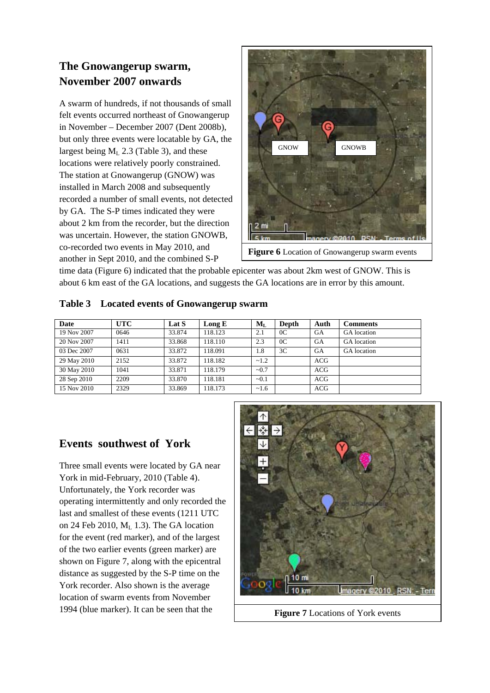# **The Gnowangerup swarm, November 2007 onwards**

A swarm of hundreds, if not thousands of small felt events occurred northeast of Gnowangerup in November – December 2007 (Dent 2008b), but only three events were locatable by GA, the largest being  $M_L$  2.3 (Table 3), and these locations were relatively poorly constrained. The station at Gnowangerup (GNOW) was installed in March 2008 and subsequently recorded a number of small events, not detected by GA. The S-P times indicated they were about 2 km from the recorder, but the direction was uncertain. However, the station GNOWB, co-recorded two events in May 2010, and another in Sept 2010, and the combined S-P



**Figure 6** Location of Gnowangerup swarm events

time data (Figure 6) indicated that the probable epicenter was about 2km west of GNOW. This is about 6 km east of the GA locations, and suggests the GA locations are in error by this amount.

|  |  |  |  |  | Table 3 Located events of Gnowangerup swarm |  |
|--|--|--|--|--|---------------------------------------------|--|
|--|--|--|--|--|---------------------------------------------|--|

| Date        | UTC  | Lat S  | Long $E$ | $M_{L}$ | Depth          | Auth       | Comments           |
|-------------|------|--------|----------|---------|----------------|------------|--------------------|
| 19 Nov 2007 | 0646 | 33.874 | 118.123  | 2.1     | 0 <sup>C</sup> | GA         | <b>GA</b> location |
| 20 Nov 2007 | 1411 | 33.868 | 118.110  | 2.3     | 0 <sup>C</sup> | <b>GA</b>  | <b>GA</b> location |
| 03 Dec 2007 | 0631 | 33.872 | 118.091  | 1.8     | 3C             | <b>GA</b>  | <b>GA</b> location |
| 29 May 2010 | 2152 | 33.872 | 118.182  | ~1.2    |                | <b>ACG</b> |                    |
| 30 May 2010 | 1041 | 33.871 | 118.179  | ~10.7   |                | ACG        |                    |
| 28 Sep 2010 | 2209 | 33.870 | 118.181  | $-0.1$  |                | <b>ACG</b> |                    |
| 15 Nov 2010 | 2329 | 33.869 | 118.173  | ~1.6    |                | <b>ACG</b> |                    |

# **Events southwest of York**

Three small events were located by GA near York in mid-February, 2010 (Table 4). Unfortunately, the York recorder was operating intermittently and only recorded the last and smallest of these events (1211 UTC on 24 Feb 2010, ML 1.3). The GA location for the event (red marker), and of the largest of the two earlier events (green marker) are shown on Figure 7, along with the epicentral distance as suggested by the S-P time on the York recorder. Also shown is the average location of swarm events from November 1994 (blue marker). It can be seen that the



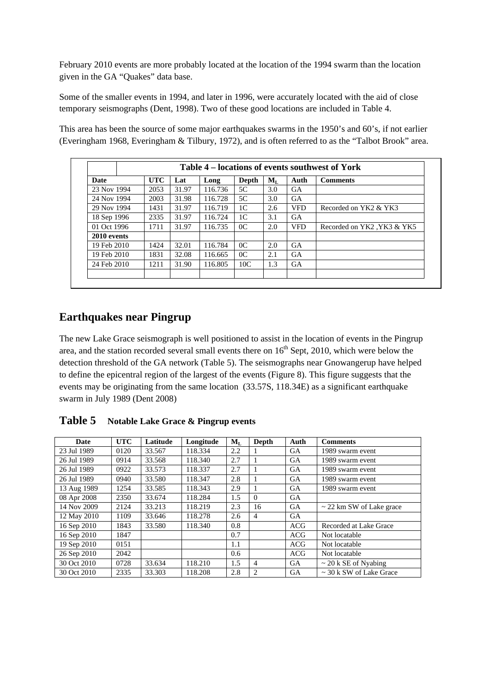February 2010 events are more probably located at the location of the 1994 swarm than the location given in the GA "Quakes" data base.

Some of the smaller events in 1994, and later in 1996, were accurately located with the aid of close temporary seismographs (Dent, 1998). Two of these good locations are included in Table 4.

This area has been the source of some major earthquakes swarms in the 1950's and 60's, if not earlier (Everingham 1968, Everingham & Tilbury, 1972), and is often referred to as the "Talbot Brook" area.

| Date        | <b>UTC</b> | Lat   | Long    | Depth          | $M_L$ | Auth       | <b>Comments</b>            |
|-------------|------------|-------|---------|----------------|-------|------------|----------------------------|
| 23 Nov 1994 | 2053       | 31.97 | 116.736 | 5C             | 3.0   | <b>GA</b>  |                            |
| 24 Nov 1994 | 2003       | 31.98 | 116.728 | 5C             | 3.0   | <b>GA</b>  |                            |
| 29 Nov 1994 | 1431       | 31.97 | 116.719 | 1 <sup>C</sup> | 2.6   | <b>VFD</b> | Recorded on YK2 & YK3      |
| 18 Sep 1996 | 2335       | 31.97 | 116.724 | 1 <sup>C</sup> | 3.1   | <b>GA</b>  |                            |
| 01 Oct 1996 | 1711       | 31.97 | 116.735 | 0 <sup>C</sup> | 2.0   | <b>VFD</b> | Recorded on YK2, YK3 & YK5 |
| 2010 events |            |       |         |                |       |            |                            |
| 19 Feb 2010 | 1424       | 32.01 | 116.784 | 0 <sup>C</sup> | 2.0   | <b>GA</b>  |                            |
| 19 Feb 2010 | 1831       | 32.08 | 116.665 | 0 <sup>C</sup> | 2.1   | <b>GA</b>  |                            |
| 24 Feb 2010 | 1211       | 31.90 | 116.805 | 10C            | 1.3   | <b>GA</b>  |                            |

### **Earthquakes near Pingrup**

The new Lake Grace seismograph is well positioned to assist in the location of events in the Pingrup area, and the station recorded several small events there on  $16<sup>th</sup>$  Sept, 2010, which were below the detection threshold of the GA network (Table 5). The seismographs near Gnowangerup have helped to define the epicentral region of the largest of the events (Figure 8). This figure suggests that the events may be originating from the same location (33.57S, 118.34E) as a significant earthquake swarm in July 1989 (Dent 2008)

**Date UTC Latitude Longitude ML Depth Auth Comments**  23 Jul 1989 0120 33.567 118.334 2.2 1 GA 1989 swarm event 26 Jul 1989 0914 33.568 118.340 2.7 1 GA 1989 swarm event 26 Jul 1989 | 0922 | 33.573 | 118.337 | 2.7 | 1 | GA | 1989 swarm event 26 Jul 1989 | 0940 | 33.580 | 118.347 | 2.8 | 1 | GA | 1989 swarm event 13 Aug 1989 1254 33.585 118.343 2.9 1 GA 1989 swarm event 08 Apr 2008 2350 33.674 118.284 1.5 0 GA 14 Nov 2009 2124 33.213 118.219 2.3 16 GA  $\sim$  22 km SW of Lake grace 12 May 2010 | 1109 | 33.646 | 118.278 | 2.6 | 4 | GA 16 Sep 2010 1843 33.580 118.340 0.8 ACG Recorded at Lake Grace 16 Sep 2010 1847 0.7 ACG Not locatable 19 Sep 2010 0151 1.1 ACG Not locatable 26 Sep 2010 2042 0.6 ACG Not locatable 30 Oct 2010 0728 33.634 118.210 1.5 4 GA ~ 20 k SE of Nyabing 30 Oct 2010 2335 33.303 118.208 2.8 2 GA ~ 30 k SW of Lake Grace

**Table 5 Notable Lake Grace & Pingrup events**